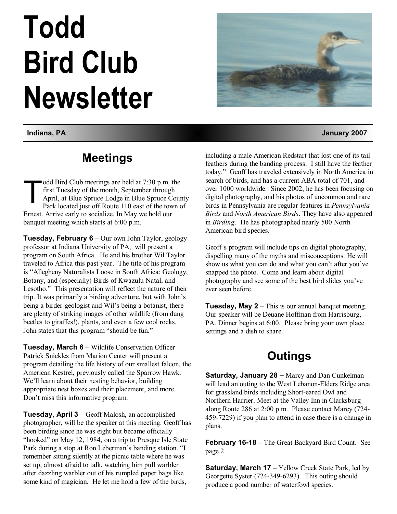# **Todd Bird Club Newsletter**

# **Meetings**

T odd Bird Club meetings are held at 7:30 p.m. the first Tuesday of the month, September through April, at Blue Spruce Lodge in Blue Spruce County Park located just off Route 110 east of the town of Ernest. Arrive early to socialize. In May we hold our banquet meeting which starts at 6:00 p.m.

**Tuesday, February 6** – Our own John Taylor, geology professor at Indiana University of PA, will present a program on South Africa. He and his brother Wil Taylor traveled to Africa this past year. The title of his program is "Allegheny Naturalists Loose in South Africa: Geology, Botany, and (especially) Birds of Kwazulu Natal, and Lesotho." This presentation will reflect the nature of their trip. It was primarily a birding adventure, but with John's being a birder-geologist and Wil's being a botanist, there are plenty of striking images of other wildlife (from dung beetles to giraffes!), plants, and even a few cool rocks. John states that this program "should be fun."

**Tuesday, March 6** – Wildlife Conservation Officer Patrick Snickles from Marion Center will present a program detailing the life history of our smallest falcon, the American Kestrel, previously called the Sparrow Hawk. We'll learn about their nesting behavior, building appropriate nest boxes and their placement, and more. Don't miss this informative program.

**Tuesday, April 3** – Geoff Malosh, an accomplished photographer, will be the speaker at this meeting. Geoff has been birding since he was eight but became officially "hooked" on May 12, 1984, on a trip to Presque Isle State Park during a stop at Ron Leberman's banding station. "I remember sitting silently at the picnic table where he was set up, almost afraid to talk, watching him pull warbler after dazzling warbler out of his rumpled paper bags like some kind of magician. He let me hold a few of the birds,



**Indiana, PA January 2007** 

including a male American Redstart that lost one of its tail feathers during the banding process. I still have the feather today." Geoff has traveled extensively in North America in search of birds, and has a current ABA total of 701, and over 1000 worldwide. Since 2002, he has been focusing on digital photography, and his photos of uncommon and rare birds in Pennsylvania are regular features in *Pennsylvania Birds* and *North American Birds*. They have also appeared in *Birding*. He has photographed nearly 500 North American bird species.

Geoff's program will include tips on digital photography, dispelling many of the myths and misconceptions. He will show us what you can do and what you can't after you've snapped the photo. Come and learn about digital photography and see some of the best bird slides you've ever seen before.

**Tuesday, May 2** – This is our annual banquet meeting. Our speaker will be Deuane Hoffman from Harrisburg, PA. Dinner begins at 6:00. Please bring your own place settings and a dish to share.

# **Outings**

**Saturday, January 28 –** Marcy and Dan Cunkelman will lead an outing to the West Lebanon-Elders Ridge area for grassland birds including Short-eared Owl and Northern Harrier. Meet at the Valley Inn in Clarksburg along Route 286 at 2:00 p.m. Please contact Marcy (724- 459-7229) if you plan to attend in case there is a change in plans.

**February 16-18** – The Great Backyard Bird Count. See page 2.

**Saturday, March 17** – Yellow Creek State Park, led by Georgette Syster (724-349-6293). This outing should produce a good number of waterfowl species.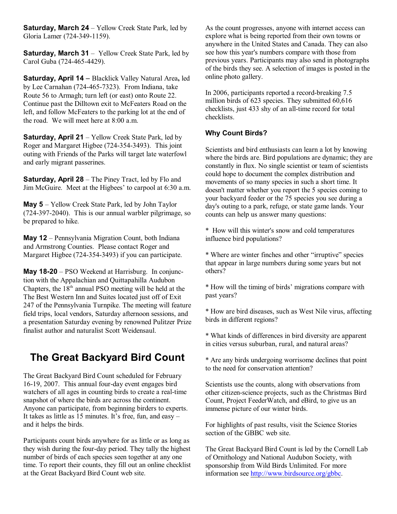**Saturday, March 24** – Yellow Creek State Park, led by Gloria Lamer (724-349-1159).

**Saturday, March 31** – Yellow Creek State Park, led by Carol Guba (724-465-4429).

**Saturday, April 14** – Blacklick Valley Natural Area**,** led by Lee Carnahan (724-465-7323). From Indiana, take Route 56 to Armagh; turn left (or east) onto Route 22. Continue past the Dilltown exit to McFeaters Road on the left, and follow McFeaters to the parking lot at the end of the road. We will meet here at 8:00 a.m.

**Saturday, April 21** – Yellow Creek State Park, led by Roger and Margaret Higbee (724-354-3493). This joint outing with Friends of the Parks will target late waterfowl and early migrant passerines.

**Saturday, April 28** – The Piney Tract, led by Flo and Jim McGuire. Meet at the Higbees' to carpool at 6:30 a.m.

**May 5** – Yellow Creek State Park, led by John Taylor (724-397-2040). This is our annual warbler pilgrimage, so be prepared to hike.

**May 12** – Pennsylvania Migration Count, both Indiana and Armstrong Counties. Please contact Roger and Margaret Higbee (724-354-3493) if you can participate.

**May 18-20** – PSO Weekend at Harrisburg. In conjunction with the Appalachian and Quittapahilla Audubon Chapters, the  $18<sup>th</sup>$  annual PSO meeting will be held at the The Best Western Inn and Suites located just off of Exit 247 of the Pennsylvania Turnpike. The meeting will feature field trips, local vendors, Saturday afternoon sessions, and a presentation Saturday evening by renowned Pulitzer Prize finalist author and naturalist Scott Weidensaul.

### **The Great Backyard Bird Count**

The Great Backyard Bird Count scheduled for February 16-19, 2007. This annual four-day event engages bird watchers of all ages in counting birds to create a real-time snapshot of where the birds are across the continent. Anyone can participate, from beginning birders to experts. It takes as little as 15 minutes. It's free, fun, and easy – and it helps the birds.

Participants count birds anywhere for as little or as long as they wish during the four-day period. They tally the highest number of birds of each species seen together at any one time. To report their counts, they fill out an online checklist at the Great Backyard Bird Count web site.

As the count progresses, anyone with internet access can explore what is being reported from their own towns or anywhere in the United States and Canada. They can also see how this year's numbers compare with those from previous years. Participants may also send in photographs of the birds they see. A selection of images is posted in the online photo gallery.

In 2006, participants reported a record-breaking 7.5 million birds of 623 species. They submitted 60,616 checklists, just 433 shy of an all-time record for total checklists.

#### **Why Count Birds?**

Scientists and bird enthusiasts can learn a lot by knowing where the birds are. Bird populations are dynamic; they are constantly in flux. No single scientist or team of scientists could hope to document the complex distribution and movements of so many species in such a short time. It doesn't matter whether you report the 5 species coming to your backyard feeder or the 75 species you see during a day's outing to a park, refuge, or state game lands. Your counts can help us answer many questions:

\* How will this winter's snow and cold temperatures influence bird populations?

\* Where are winter finches and other "irruptive" species that appear in large numbers during some years but not others?

\* How will the timing of birds' migrations compare with past years?

\* How are bird diseases, such as West Nile virus, affecting birds in different regions?

\* What kinds of differences in bird diversity are apparent in cities versus suburban, rural, and natural areas?

\* Are any birds undergoing worrisome declines that point to the need for conservation attention?

Scientists use the counts, along with observations from other citizen-science projects, such as the Christmas Bird Count, Project FeederWatch, and eBird, to give us an immense picture of our winter birds.

For highlights of past results, visit the Science Stories section of the GBBC web site.

The Great Backyard Bird Count is led by the Cornell Lab of Ornithology and National Audubon Society, with sponsorship from Wild Birds Unlimited. For more information see<http://www.birdsource.org/gbbc>.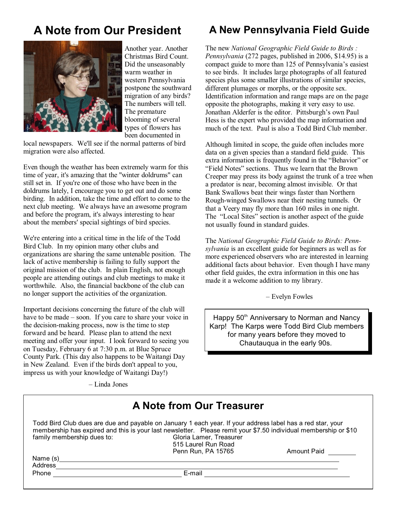# **A Note from Our President**



Another year. Another Christmas Bird Count. Did the unseasonably warm weather in western Pennsylvania postpone the southward migration of any birds? The numbers will tell. The premature blooming of several types of flowers has been documented in

local newspapers. We'll see if the normal patterns of bird migration were also affected.

Even though the weather has been extremely warm for this time of year, it's amazing that the "winter doldrums" can still set in. If you're one of those who have been in the doldrums lately, I encourage you to get out and do some birding. In addition, take the time and effort to come to the next club meeting. We always have an awesome program and before the program, it's always interesting to hear about the members' special sightings of bird species.

We're entering into a critical time in the life of the Todd Bird Club. In my opinion many other clubs and organizations are sharing the same untenable position. The lack of active membership is failing to fully support the original mission of the club. In plain English, not enough people are attending outings and club meetings to make it worthwhile. Also, the financial backbone of the club can no longer support the activities of the organization.

Important decisions concerning the future of the club will have to be made – soon. If you care to share your voice in the decision-making process, now is the time to step forward and be heard. Please plan to attend the next meeting and offer your input. I look forward to seeing you on Tuesday, February 6 at 7:30 p.m. at Blue Spruce County Park. (This day also happens to be Waitangi Day in New Zealand. Even if the birds don't appeal to you, impress us with your knowledge of Waitangi Day!)

– Linda Jones

# **A New Pennsylvania Field Guide**

The new *National Geographic Field Guide to Birds : Pennsylvania* (272 pages, published in 2006, \$14.95) is a compact guide to more than 125 of Pennsylvania's easiest to see birds. It includes large photographs of all featured species plus some smaller illustrations of similar species, different plumages or morphs, or the opposite sex. Identification information and range maps are on the page opposite the photographs, making it very easy to use. Jonathan Alderfer is the editor. Pittsburgh's own Paul Hess is the expert who provided the map information and much of the text. Paul is also a Todd Bird Club member.

Although limited in scope, the guide often includes more data on a given species than a standard field guide. This extra information is frequently found in the "Behavior" or "Field Notes" sections. Thus we learn that the Brown Creeper may press its body against the trunk of a tree when a predator is near, becoming almost invisible. Or that Bank Swallows beat their wings faster than Northern Rough-winged Swallows near their nesting tunnels. Or that a Veery may fly more than 160 miles in one night. The "Local Sites" section is another aspect of the guide not usually found in standard guides.

The *National Geographic Field Guide to Birds: Pennsylvania* is an excellent guide for beginners as well as for more experienced observers who are interested in learning additional facts about behavior. Even though I have many other field guides, the extra information in this one has made it a welcome addition to my library.

– Evelyn Fowles

Happy 50<sup>th</sup> Anniversary to Norman and Nancy Karp! The Karps were Todd Bird Club members for many years before they moved to Chautauqua in the early 90s.

#### **A Note from Our Treasurer** Todd Bird Club dues are due and payable on January 1 each year. If your address label has a red star, your membership has expired and this is your last newsletter. Please remit your \$7.50 individual membership or \$10<br>
Gloria Lamer. Treasurer family membership dues to: 515 Laurel Run Road Penn Run, PA 15765 Amount Paid Name (s) example a set of the set of the set of the set of the set of the set of the set of the set of the set of the set of the set of the set of the set of the set of the set of the set of the set of the set of the set o Address Address **E-mail**<br>
Phone E-mail E-mail E-mail E-mail E-mail E-mail E-mail E-mail E-mail E-mail E-mail E-mail E-mail E-mail E-mail E-mail E-mail E-mail E-mail E-mail E-mail E-mail E-mail E-mail E-mail E-mail E-mail E-mail E-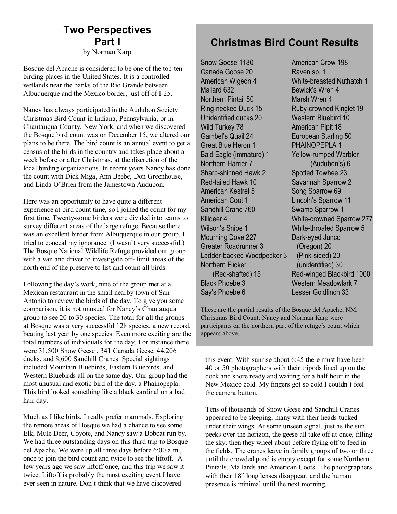# **Two Perspectives Part I**

by Norman Karp

Bosque del Apache is considered to be one of the top ten birding places in the United States. It is a controlled wetlands near the banks of the Rio Grande between Albuquerque and the Mexico border, just off of I-25.

Nancy has always participated in the Audubon Society Christmas Bird Count in Indiana, Pennsylvania, or in Chautauqua County, New York, and when we discovered the Bosque bird count was on December 15, we altered our plans to be there. The bird count is an annual event to get a census of the birds in the country and takes place about a week before or after Christmas, at the discretion of the local birding organizations. In recent years Nancy has done the count with Dick Miga, Ann Beebe, Don Greenhouse, and Linda O'Brien from the Jamestown Audubon.

Here was an opportunity to have quite a different experience at bird count time, so I joined the count for my first time. Twenty-some birders were divided into teams to survey different areas of the large refuge. Because there was an excellent birder from Albuquerque in our group, I tried to conceal my ignorance. (I wasn't very successful.) The Bosque National Wildlife Refuge provided our group with a van and driver to investigate off- limit areas of the north end of the preserve to list and count all birds.

Following the day's work, nine of the group met at a Mexican restaurant in the small nearby town of San Antonio to review the birds of the day. To give you some comparison, it is not unusual for Nancy's Chautauqua group to see 20 to 30 species. The total for all the groups at Bosque was a very successful 128 species, a new record, beating last year by one species. Even more exciting are the total numbers of individuals for the day. For instance there were 31,500 Snow Geese , 341 Canada Geese, 44,206 ducks, and 8,600 Sandhill Cranes. Special sightings included Mountain Bluebirds, Eastern Bluebirds, and Western Bluebirds all on the same day. Our group had the most unusual and exotic bird of the day, a Phainopepla. This bird looked something like a black cardinal on a bad hair day.

Much as I like birds, I really prefer mammals. Exploring the remote areas of Bosque we had a chance to see some Elk, Mule Deer, Coyote, and Nancy saw a Bobcat run by. We had three outstanding days on this third trip to Bosque del Apache. We were up all three days before 6:00 a.m., once to join the bird count and twice to see the liftoff. A few years ago we saw liftoff once, and this trip we saw it twice. Liftoff is probably the most exciting event I have ever seen in nature. Don't think that we have discovered

#### **Christmas Bird Count Results**

Snow Goose 1180 Canada Goose 20 American Wigeon 4 Mallard 632 Northern Pintail 50 Ring-necked Duck 15 Unidentified ducks 20 Wild Turkey 78 Gambel's Quail 24 Great Blue Heron 1 Bald Eagle (immature) 1 Northern Harrier 7 Sharp-shinned Hawk 2 Red-tailed Hawk 10 American Kestrel 5 American Coot 1 Sandhill Crane 760 Killdeer 4 Wilson's Snipe 1 Mourning Dove 227 Greater Roadrunner 3 Ladder-backed Woodpecker 3 Northern Flicker (Red-shafted) 15

Black Phoebe 3 Say's Phoebe 6 American Crow 198 Raven sp. 1 White-breasted Nuthatch 1 Bewick's Wren 4 Marsh Wren 4 Ruby-crowned Kinglet 19 Western Bluebird 10 American Pipit 18 European Starling 50 PHAINOPEPLA 1 Yellow-rumped Warbler (Audubon's) 6 Spotted Towhee 23 Savannah Sparrow 2 Song Sparrow 69 Lincoln's Sparrow 11 Swamp Sparrow 1 White-crowned Sparrow 277 White-throated Sparrow 5 Dark-eyed Junco (Oregon) 20 (Pink-sided) 20 (unidentified) 30 Red-winged Blackbird 1000 Western Meadowlark 7 Lesser Goldfinch 33

These are the partial results of the Bosque del Apache, NM, Christmas Bird Count. Nancy and Norman Karp were participants on the northern part of the refuge's count which appears above.

this event. With sunrise about 6:45 there must have been 40 or 50 photographers with their tripods lined up on the dock and shore ready and waiting for a half hour in the New Mexico cold. My fingers got so cold I couldn't feel the camera button.

Tens of thousands of Snow Geese and Sandhill Cranes appeared to be sleeping, many with their heads tucked under their wings. At some unseen signal, just as the sun peeks over the horizon, the geese all take off at once, filling the sky, then they wheel about before flying off to feed in the fields. The cranes leave in family groups of two or three until the crowded pond is empty except for some Northern Pintails, Mallards and American Coots. The photographers with their 18" long lenses disappear, and the human presence is minimal until the next morning.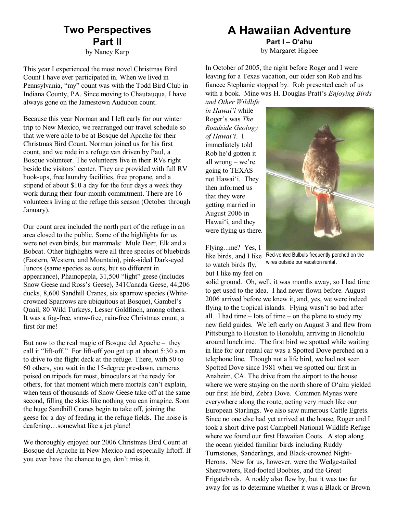## **Two Perspectives Part II**

by Nancy Karp

This year I experienced the most novel Christmas Bird Count I have ever participated in. When we lived in Pennsylvania, "my" count was with the Todd Bird Club in Indiana County, PA. Since moving to Chautauqua, I have always gone on the Jamestown Audubon count.

Because this year Norman and I left early for our winter trip to New Mexico, we rearranged our travel schedule so that we were able to be at Bosque del Apache for their Christmas Bird Count. Norman joined us for his first count, and we rode in a refuge van driven by Paul, a Bosque volunteer. The volunteers live in their RVs right beside the visitors' center. They are provided with full RV hook-ups, free laundry facilities, free propane, and a stipend of about \$10 a day for the four days a week they work during their four-month commitment. There are 16 volunteers living at the refuge this season (October through January).

Our count area included the north part of the refuge in an area closed to the public. Some of the highlights for us were not even birds, but mammals: Mule Deer, Elk and a Bobcat. Other highlights were all three species of bluebirds (Eastern, Western, and Mountain), pink-sided Dark-eyed Juncos (same species as ours, but so different in appearance), Phainopepla, 31,500 "light" geese (includes Snow Geese and Ross's Geese), 341Canada Geese, 44,206 ducks, 8,600 Sandhill Cranes, six sparrow species (Whitecrowned Sparrows are ubiquitous at Bosque), Gambel's Quail, 80 Wild Turkeys, Lesser Goldfinch, among others. It was a fog-free, snow-free, rain-free Christmas count, a first for me!

But now to the real magic of Bosque del Apache – they call it "lift-off." For lift-off you get up at about 5:30 a.m. to drive to the flight deck at the refuge. There, with 50 to 60 others, you wait in the 15-degree pre-dawn, cameras poised on tripods for most, binoculars at the ready for others, for that moment which mere mortals can't explain, when tens of thousands of Snow Geese take off at the same second, filling the skies like nothing you can imagine. Soon the huge Sandhill Cranes begin to take off, joining the geese for a day of feeding in the refuge fields. The noise is deafening…somewhat like a jet plane!

We thoroughly enjoyed our 2006 Christmas Bird Count at Bosque del Apache in New Mexico and especially liftoff. If you ever have the chance to go, don't miss it.

### **A Hawaiian Adventure**

**Part I – O'ahu** by Margaret Higbee

In October of 2005, the night before Roger and I were leaving for a Texas vacation, our older son Rob and his fiancee Stephanie stopped by. Rob presented each of us with a book. Mine was H. Douglas Pratt's *Enjoying Birds and Other Wildlife*

*in Hawai'i* while Roger's was *The Roadside Geology of Hawai'i*. I immediately told Rob he'd gotten it all wrong – we're going to TEXAS – not Hawai'i. They then informed us that they were getting married in August 2006 in Hawai'i, and they were flying us there.



Flying...me? Yes, I to watch birds fly, but I like my feet on

like birds, and I like Red-vented Bulbuls frequently perched on the wires outside our vacation rental.

solid ground. Oh, well, it was months away, so I had time to get used to the idea. I had never flown before. August 2006 arrived before we knew it, and, yes, we were indeed flying to the tropical islands. Flying wasn't so bad after all. I had time – lots of time – on the plane to study my new field guides. We left early on August 3 and flew from Pittsburgh to Houston to Honolulu, arriving in Honolulu around lunchtime. The first bird we spotted while waiting in line for our rental car was a Spotted Dove perched on a telephone line. Though not a life bird, we had not seen Spotted Dove since 1981 when we spotted our first in Anaheim, CA. The drive from the airport to the house where we were staying on the north shore of O'ahu yielded our first life bird, Zebra Dove. Common Mynas were everywhere along the route, acting very much like our European Starlings. We also saw numerous Cattle Egrets. Since no one else had yet arrived at the house, Roger and I took a short drive past Campbell National Wildlife Refuge where we found our first Hawaiian Coots. A stop along the ocean yielded familiar birds including Ruddy Turnstones, Sanderlings, and Black-crowned Night-Herons. New for us, however, were the Wedge-tailed Shearwaters, Red-footed Boobies, and the Great Frigatebirds. A noddy also flew by, but it was too far away for us to determine whether it was a Black or Brown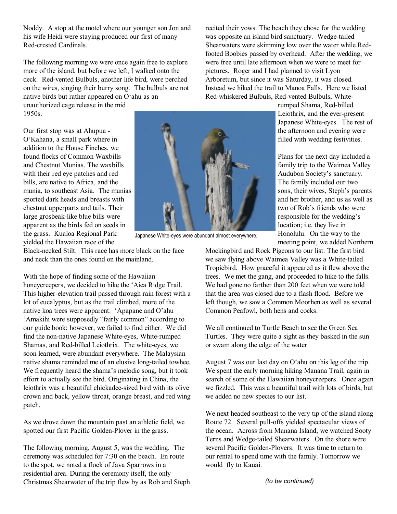Noddy. A stop at the motel where our younger son Jon and his wife Heidi were staying produced our first of many Red-crested Cardinals.

The following morning we were once again free to explore more of the island, but before we left, I walked onto the deck. Red-vented Bulbuls, another life bird, were perched on the wires, singing their burry song. The bulbuls are not native birds but rather appeared on O'ahu as an

unauthorized cage release in the mid 1950s.

Our first stop was at Ahupua - O'Kahana, a small park where in addition to the House Finches, we found flocks of Common Waxbills and Chestnut Munias. The waxbills with their red eye patches and red bills, are native to Africa, and the munia, to southeast Asia. The munias sported dark heads and breasts with chestnut upperparts and tails. Their large grosbeak-like blue bills were apparent as the birds fed on seeds in the grass. Kualoa Regional Park yielded the Hawaiian race of the



Japanese White-eyes were abundant almost everywhere.

Black-necked Stilt. This race has more black on the face and neck than the ones found on the mainland.

With the hope of finding some of the Hawaiian honeycreepers, we decided to hike the 'Aiea Ridge Trail. This higher-elevation trail passed through rain forest with a lot of eucalyptus, but as the trail climbed, more of the native koa trees were apparent. 'Apapane and O'ahu 'Amakihi were supposedly "fairly common" according to our guide book; however, we failed to find either. We did find the non-native Japanese White-eyes, White-rumped Shamas, and Red-billed Leiothrix. The white-eyes, we soon learned, were abundant everywhere. The Malaysian native shama reminded me of an elusive long-tailed towhee. We frequently heard the shama's melodic song, but it took effort to actually see the bird. Originating in China, the leiothrix was a beautiful chickadee-sized bird with its olive crown and back, yellow throat, orange breast, and red wing patch.

As we drove down the mountain past an athletic field, we spotted our first Pacific Golden-Plover in the grass.

The following morning, August 5, was the wedding. The ceremony was scheduled for 7:30 on the beach. En route to the spot, we noted a flock of Java Sparrows in a residential area. During the ceremony itself, the only Christmas Shearwater of the trip flew by as Rob and Steph recited their vows. The beach they chose for the wedding was opposite an island bird sanctuary. Wedge-tailed Shearwaters were skimming low over the water while Redfooted Boobies passed by overhead. After the wedding, we were free until late afternoon when we were to meet for pictures. Roger and I had planned to visit Lyon Arboretum, but since it was Saturday, it was closed. Instead we hiked the trail to Manoa Falls. Here we listed Red-whiskered Bulbuls, Red-vented Bulbuls, White-

> rumped Shama, Red-billed Leiothrix, and the ever-present Japanese White-eyes. The rest of the afternoon and evening were filled with wedding festivities.

> Plans for the next day included a family trip to the Waimea Valley Audubon Society's sanctuary. The family included our two sons, their wives, Steph's parents and her brother, and us as well as two of Rob's friends who were responsible for the wedding's location; i.e. they live in Honolulu. On the way to the meeting point, we added Northern

Mockingbird and Rock Pigeons to our list. The first bird we saw flying above Waimea Valley was a White-tailed Tropicbird. How graceful it appeared as it flew above the trees. We met the gang, and proceeded to hike to the falls. We had gone no farther than 200 feet when we were told that the area was closed due to a flash flood. Before we left though, we saw a Common Moorhen as well as several Common Peafowl, both hens and cocks.

We all continued to Turtle Beach to see the Green Sea Turtles. They were quite a sight as they basked in the sun or swam along the edge of the water.

August 7 was our last day on O'ahu on this leg of the trip. We spent the early morning hiking Manana Trail, again in search of some of the Hawaiian honeycreepers. Once again we fizzled. This was a beautiful trail with lots of birds, but we added no new species to our list.

We next headed southeast to the very tip of the island along Route 72. Several pull-offs yielded spectacular views of the ocean. Across from Manana Island, we watched Sooty Terns and Wedge-tailed Shearwaters. On the shore were several Pacific Golden-Plovers. It was time to return to our rental to spend time with the family. Tomorrow we would fly to Kauai.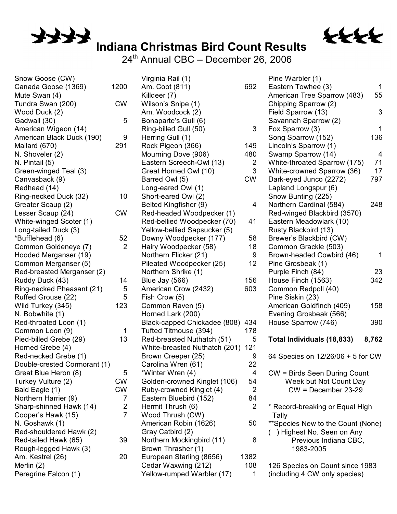

24<sup>th</sup> Annual CBC – December 26, 2006

136

tttt

797

248

342

158

390

| Snow Goose (CW)              |                | Virginia Rail (1)             |                | Pine Warbler (1)                  |                |
|------------------------------|----------------|-------------------------------|----------------|-----------------------------------|----------------|
| Canada Goose (1369)          | 1200           | Am. Coot (811)                | 692            | Eastern Towhee (3)                | 1              |
| Mute Swan (4)                |                | Killdeer (7)                  |                | American Tree Sparrow (483)       | 55             |
| Tundra Swan (200)            | <b>CW</b>      | Wilson's Snipe (1)            |                | Chipping Sparrow (2)              |                |
| Wood Duck (2)                |                | Am. Woodcock (2)              |                | Field Sparrow (13)                | 3              |
| Gadwall (30)                 | 5              | Bonaparte's Gull (6)          |                | Savannah Sparrow (2)              |                |
| American Wigeon (14)         |                | Ring-billed Gull (50)         | $\mathfrak{B}$ | Fox Sparrow (3)                   | 1              |
| American Black Duck (190)    | 9              | Herring Gull (1)              |                | Song Sparrow (152)                | 136            |
| Mallard (670)                | 291            | Rock Pigeon (366)             | 149            | Lincoln's Sparrow (1)             |                |
| N. Shoveler (2)              |                | Mourning Dove (906)           | 480            | Swamp Sparrow (14)                | $\overline{4}$ |
| N. Pintail (5)               |                | Eastern Screech-Owl (13)      | $\overline{2}$ | White-throated Sparrow (175)      | 71             |
| Green-winged Teal (3)        |                | Great Horned Owl (10)         | $\mathfrak{B}$ | White-crowned Sparrow (36)        | 17             |
| Canvasback (9)               |                | Barred Owl (5)                | <b>CW</b>      | Dark-eyed Junco (2272)            | 797            |
| Redhead (14)                 |                | Long-eared Owl (1)            |                | Lapland Longspur (6)              |                |
| Ring-necked Duck (32)        | 10             | Short-eared Owl (2)           |                | Snow Bunting (225)                |                |
| Greater Scaup (2)            |                | Belted Kingfisher (9)         | 4              | Northern Cardinal (584)           | 248            |
| Lesser Scaup (24)            | <b>CW</b>      | Red-headed Woodpecker (1)     |                | Red-winged Blackbird (3570)       |                |
| White-winged Scoter (1)      |                | Red-bellied Woodpecker (70)   | 41             | Eastern Meadowlark (10)           |                |
| Long-tailed Duck (3)         |                | Yellow-bellied Sapsucker (5)  |                | Rusty Blackbird (13)              |                |
| *Bufflehead (6)              | 52             | Downy Woodpecker (177)        | 58             | Brewer's Blackbird (CW)           |                |
| Common Goldeneye (7)         | 2              | Hairy Woodpecker (58)         | 18             | Common Grackle (503)              |                |
| Hooded Merganser (19)        |                | Northern Flicker (21)         | 9              | Brown-headed Cowbird (46)         | 1              |
| Common Merganser (5)         |                | Pileated Woodpecker (25)      | 12             | Pine Grosbeak (1)                 |                |
| Red-breasted Merganser (2)   |                | Northern Shrike (1)           |                | Purple Finch (84)                 | 23             |
| Ruddy Duck (43)              | 14             | Blue Jay (566)                | 156            | House Finch (1563)                | 342            |
| Ring-necked Pheasant (21)    | $\sqrt{5}$     | American Crow (2432)          | 603            | Common Redpoll (40)               |                |
| Ruffed Grouse (22)           | 5              | Fish Crow (5)                 |                | Pine Siskin (23)                  |                |
| Wild Turkey (345)            | 123            | Common Raven (5)              |                | American Goldfinch (409)          | 158            |
| N. Bobwhite (1)              |                | Horned Lark (200)             |                | Evening Grosbeak (566)            |                |
| Red-throated Loon (1)        |                | Black-capped Chickadee (808)  | 434            | House Sparrow (746)               | 390            |
| Common Loon (9)              | 1              | Tufted Titmouse (394)         | 178            |                                   |                |
| Pied-billed Grebe (29)       | 13             | Red-breasted Nuthatch (51)    | 5              | Total Individuals (18,833)        | 8,762          |
| Horned Grebe (4)             |                | White-breasted Nuthatch (201) | 121            |                                   |                |
| Red-necked Grebe (1)         |                | Brown Creeper (25)            | 9              | 64 Species on 12/26/06 + 5 for CW |                |
| Double-crested Cormorant (1) |                | Carolina Wren (61)            | 22             |                                   |                |
| Great Blue Heron (8)         | 5              | *Winter Wren (4)              | 4              | CW = Birds Seen During Count      |                |
| Turkey Vulture (2)           | <b>CW</b>      | Golden-crowned Kinglet (106)  | 54             | Week but Not Count Day            |                |
| Bald Eagle (1)               | <b>CW</b>      | Ruby-crowned Kinglet (4)      | $\overline{2}$ | $CW = December 23-29$             |                |
| Northern Harrier (9)         | 7              | Eastern Bluebird (152)        | 84             |                                   |                |
| Sharp-shinned Hawk (14)      | $\overline{2}$ | Hermit Thrush (6)             | 2              | * Record-breaking or Equal High   |                |
| Cooper's Hawk (15)           | $\overline{7}$ | Wood Thrush (CW)              |                | Tally                             |                |
| N. Goshawk (1)               |                | American Robin (1626)         | 50             | **Species New to the Count (None) |                |
| Red-shouldered Hawk (2)      |                | Gray Catbird (2)              |                | ) Highest No. Seen on Any         |                |
| Red-tailed Hawk (65)         | 39             | Northern Mockingbird (11)     | 8              | Previous Indiana CBC,             |                |
| Rough-legged Hawk (3)        |                | Brown Thrasher (1)            |                | 1983-2005                         |                |
| Am. Kestrel (26)             | 20             | European Starling (8656)      | 1382           |                                   |                |
| Merlin (2)                   |                | Cedar Waxwing (212)           | 108            | 126 Species on Count since 1983   |                |
| Peregrine Falcon (1)         |                | Yellow-rumped Warbler (17)    | 1              | (including 4 CW only species)     |                |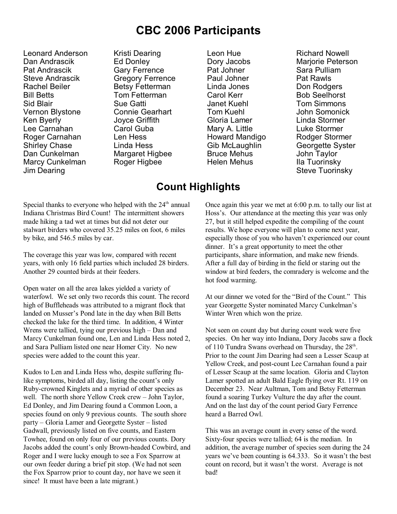## **CBC 2006 Participants**

Leonard Anderson Dan Andrascik Pat Andrascik Steve Andrascik Rachel Beiler Bill Betts Sid Blair Vernon Blystone Ken Byerly Lee Carnahan Roger Carnahan Shirley Chase Dan Cunkelman Marcy Cunkelman Jim Dearing

Kristi Dearing Ed Donley Gary Ferrence Gregory Ferrence Betsy Fetterman Tom Fetterman Sue Gatti Connie Gearhart Joyce Griffith Carol Guba Len Hess Linda Hess Margaret Higbee Roger Higbee

Leon Hue Dory Jacobs Pat Johner Paul Johner Linda Jones Carol Kerr Janet Kuehl Tom Kuehl Gloria Lamer Mary A. Little Howard Mandigo Gib McLaughlin Bruce Mehus Helen Mehus

Richard Nowell Mariorie Peterson Sara Pulliam Pat Rawls Don Rodgers Bob Seelhorst Tom Simmons John Somonick Linda Stormer Luke Stormer Rodger Stormer Georgette Syster John Taylor Ila Tuorinsky Steve Tuorinsky

### **Count Highlights**

Special thanks to everyone who helped with the  $24<sup>th</sup>$  annual Indiana Christmas Bird Count! The intermittent showers made hiking a tad wet at times but did not deter our stalwart birders who covered 35.25 miles on foot, 6 miles by bike, and 546.5 miles by car.

The coverage this year was low, compared with recent years, with only 16 field parties which included 28 birders. Another 29 counted birds at their feeders.

Open water on all the area lakes yielded a variety of waterfowl. We set only two records this count. The record high of Buffleheads was attributed to a migrant flock that landed on Musser's Pond late in the day when Bill Betts checked the lake for the third time. In addition, 4 Winter Wrens were tallied, tying our previous high – Dan and Marcy Cunkelman found one, Len and Linda Hess noted 2, and Sara Pulliam listed one near Homer City. No new species were added to the count this year.

Kudos to Len and Linda Hess who, despite suffering flulike symptoms, birded all day, listing the count's only Ruby-crowned Kinglets and a myriad of other species as well. The north shore Yellow Creek crew – John Taylor, Ed Donley, and Jim Dearing found a Common Loon, a species found on only 9 previous counts. The south shore party – Gloria Lamer and Georgette Syster – listed Gadwall, previously listed on five counts, and Eastern Towhee, found on only four of our previous counts. Dory Jacobs added the count's only Brown-headed Cowbird, and Roger and I were lucky enough to see a Fox Sparrow at our own feeder during a brief pit stop. (We had not seen the Fox Sparrow prior to count day, nor have we seen it since! It must have been a late migrant.)

Once again this year we met at 6:00 p.m. to tally our list at Hoss's. Our attendance at the meeting this year was only 27, but it still helped expedite the compiling of the count results. We hope everyone will plan to come next year, especially those of you who haven't experienced our count dinner. It's a great opportunity to meet the other participants, share information, and make new friends. After a full day of birding in the field or staring out the window at bird feeders, the comradery is welcome and the hot food warming.

At our dinner we voted for the "Bird of the Count." This year Georgette Syster nominated Marcy Cunkelman's Winter Wren which won the prize.

Not seen on count day but during count week were five species. On her way into Indiana, Dory Jacobs saw a flock of 110 Tundra Swans overhead on Thursday, the 28<sup>th</sup>. Prior to the count Jim Dearing had seen a Lesser Scaup at Yellow Creek, and post-count Lee Carnahan found a pair of Lesser Scaup at the same location. Gloria and Clayton Lamer spotted an adult Bald Eagle flying over Rt. 119 on December 23. Near Aultman, Tom and Betsy Fetterman found a soaring Turkey Vulture the day after the count. And on the last day of the count period Gary Ferrence heard a Barred Owl.

This was an average count in every sense of the word. Sixty-four species were tallied; 64 is the median. In addition, the average number of species seen during the 24 years we've been counting is 64.333. So it wasn't the best count on record, but it wasn't the worst. Average is not bad!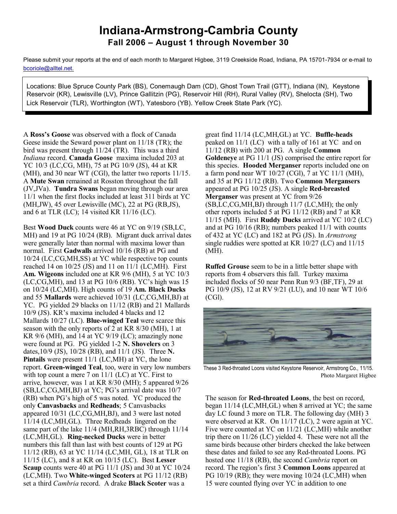#### **Indiana-Armstrong-Cambria County Fall 2006 – August 1 through November 30**

Please submit your reports at the end of each month to Margaret Higbee, 3119 Creekside Road, Indiana, PA 15701-7934 or e-mail to [bcoriole@alltel.net.](mailto:bcoriole@alltel.net.)

Locations: Blue Spruce County Park (BS), Conemaugh Dam (CD), Ghost Town Trail (GTT), Indiana (IN), Keystone Reservoir (KR), Lewisville (LV), Prince Gallitzin (PG), Reservoir Hill (RH), Rural Valley (RV), Shelocta (SH), Two Lick Reservoir (TLR), Worthington (WT), Yatesboro (YB). Yellow Creek State Park (YC).

A **Ross's Goose** was observed with a flock of Canada Geese inside the Seward power plant on 11/18 (TR); the bird was present through 11/24 (TR). This was a third *Indiana* record. **Canada Goose** maxima included 203 at YC 10/3 (LC,CG, MH), 75 at PG 10/9 (JS), 44 at KR (MH), and 30 near WT (CGl), the latter two reports 11/15. A **Mute Swan** remained at Rosston throughout the fall (JV,JVa). **Tundra Swans** began moving through our area 11/1 when the first flocks included at least 311 birds at YC (MH,JW), 45 over Lewisville (MC), 22 at PG (RB,JS), and 6 at TLR (LC); 14 visited KR 11/16 (LC).

Best **Wood Duck** counts were 46 at YC on 9/19 (SB,LC, MH) and 19 at PG 10/24 (RB). Migrant duck arrival dates were generally later than normal with maxima lower than normal. First **Gadwalls** arrived 10/16 (RB) at PG and 10/24 (LC,CG,MH,SS) at YC while respective top counts reached 14 on 10/25 (JS) and 11 on 11/1 (LC,MH). First **Am. Wigeons** included one at KR 9/6 (MH), 5 at YC 10/3 (LC,CG,MH), and 13 at PG 10/6 (RB). YC's high was 15 on 10/24 (LC,MH). High counts of 19 **Am. Black Ducks** and 55 **Mallards** were achieved 10/31 (LC,CG,MH,BJ) at YC. PG yielded 29 blacks on 11/12 (RB) and 21 Mallards 10/9 (JS). KR's maxima included 4 blacks and 12 Mallards 10/27 (LC). **Blue-winged Teal** were scarce this season with the only reports of 2 at KR 8/30 (MH), 1 at KR 9/6 (MH), and 14 at YC 9/19 (LC); amazingly none were found at PG. PG yielded 1-2 **N. Shovelers** on 3 dates,10/9 (JS), 10/28 (RB), and 11/1 (JS). Three **N. Pintails** were present 11/1 (LC,MH) at YC, the lone report. **Green-winged Teal**, too, were in very low numbers with top count a mere 7 on 11/1 (LC) at YC. First to arrive, however, was 1 at KR 8/30 (MH); 5 appeared 9/26 (SB,LC,CG,MH,BJ) at YC; PG's arrival date was 10/7 (RB) when PG's high of 5 was noted. YC produced the only **Canvasbacks** and **Redheads**; 5 Canvasbacks appeared 10/31 (LC,CG,MH,BJ), and 3 were last noted 11/14 (LC,MH,GL). Three Redheads lingered on the same part of the lake 11/4 (MH,RH,3RBC) through 11/14 (LC,MH,GL). **Ring-necked Ducks** were in better numbers this fall than last with best counts of 129 at PG 11/12 (RB), 63 at YC 11/14 (LC,MH, GL), 18 at TLR on 11/15 (LC), and 8 at KR on 10/15 (LC). Best **Lesser Scaup** counts were 40 at PG 11/1 (JS) and 30 at YC 10/24 (LC,MH). Two **White-winged Scoters** at PG 11/12 (RB) set a third *Cambria* record. A drake **Black Scoter** was a

great find 11/14 (LC,MH,GL) at YC. **Buffle-heads** peaked on 11/1 (LC) with a tally of 161 at YC and on 11/12 (RB) with 200 at PG. A single **Common Goldeneye** at PG 11/1 (JS) comprised the entire report for this species. **Hooded Merganser** reports included one on a farm pond near WT 10/27 (CGl), 7 at YC 11/1 (MH), and 35 at PG 11/12 (RB). Two **Common Mergansers** appeared at PG 10/25 (JS). A single **Red-breasted Merganser** was present at YC from 9/26 (SB,LC,CG,MH,BJ) through 11/7 (LC,MH); the only other reports included 5 at PG 11/12 (RB) and 7 at KR 11/15 (MH). First **Ruddy Ducks** arrived at YC 10/2 (LC) and at PG 10/16 (RB); numbers peaked 11/1 with counts of 432 at YC (LC) and 182 at PG (JS). In *Armstrong* single ruddies were spotted at KR 10/27 (LC) and 11/15 (MH).

**Ruffed Grouse** seem to be in a little better shape with reports from 4 observers this fall. Turkey maxima included flocks of 50 near Penn Run 9/3 (BF,TF), 29 at PG 10/9 (JS), 12 at RV 9/21 (LU), and 10 near WT 10/6 (CGl).



These 3 Red-throated Loons visited Keystone Reservoir, Armstrong Co., 11/15. Photo Margaret Higbee

The season for **Red-throated Loons**, the best on record, began 11/14 (LC,MH,GL) when 8 arrived at YC; the same day LC found 3 more on TLR. The following day (MH) 3 were observed at KR. On 11/17 (LC), 2 were again at YC. Five were counted at YC on 11/21 (LC,MH) while another trip there on 11/26 (LC) yielded 4. These were not all the same birds because other birders checked the lake between these dates and failed to see any Red-throated Loons. PG hosted one 11/18 (RB), the second *Cambria* report on record. The region's first 3 **Common Loons** appeared at PG 10/19 (RB); they were moving 10/24 (LC,MH) when 15 were counted flying over YC in addition to one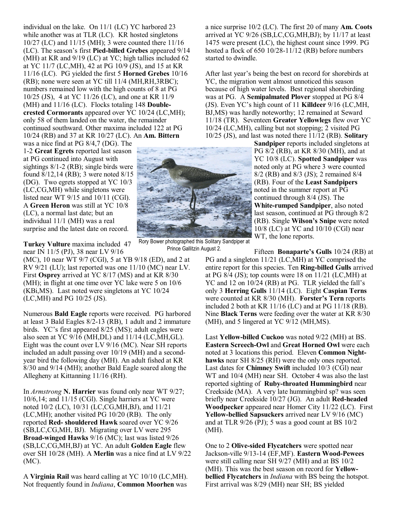individual on the lake. On 11/1 (LC) YC harbored 23 while another was at TLR (LC). KR hosted singletons 10/27 (LC) and 11/15 (MH); 3 were counted there 11/16 (LC). The season's first **Pied-billed Grebes** appeared 9/14 (MH) at KR and 9/19 (LC) at YC; high tallies included 62 at YC 11/7 (LC,MH), 42 at PG 10/9 (JS), and 15 at KR 11/16 (LC). PG yielded the first 5 **Horned Grebes** 10/16 (RB); none were seen at YC till 11/4 (MH,RH,3RBC); numbers remained low with the high counts of 8 at PG 10/25 (JS), 4 at YC 11/26 (LC), and one at KR 11/9 (MH) and 11/16 (LC). Flocks totaling 148 **Doublecrested Cormorants** appeared over YC 10/24 (LC,MH); only 58 of them landed on the water, the remainder continued southward. Other maxima included 122 at PG 10/24 (RB) and 37 at KR 10/27 (LC). An **Am. Bittern** was a nice find at PG 8/4,7 (DG). The

1-2 **Great Egrets** reported last season at PG continued into August with sightings 8/1-2 (RB); single birds were found 8/12,14 (RB); 3 were noted 8/15 (DG). Two egrets stopped at YC 10/3 (LC,CG,MH) while singletons were listed near WT 9/15 and 10/11 (CGl). A **Green Heron** was still at YC 10/8 (LC), a normal last date; but an individual 11/1 (MH) was a real surprise and the latest date on record.

**Turkey Vulture** maxima included 47 near IN 11/5 (PJ), 38 near LV 9/16

(MC), 10 near WT 9/7 (CGl), 5 at YB 9/18 (ED), and 2 at RV 9/21 (LU); last reported was one 11/10 (MC) near LV. First **Osprey** arrived at YC 8/17 (MS) and at KR 8/30 (MH); in flight at one time over YC lake were 5 on 10/6 (KBi,MS). Last noted were singletons at YC 10/24 (LC,MH) and PG 10/25 (JS).

Numerous **Bald Eagle** reports were received. PG harbored at least 3 Bald Eagles 8/2-13 (RB), 1 adult and 2 immature birds. YC's first appeared 8/25 (MS); adult eagles were also seen at YC 9/16 (MH,DL) and 11/14 (LC,MH,GL). Eight was the count over LV 9/16 (MC). Near SH reports included an adult passing over 10/19 (MH) and a secondyear bird the following day (MH). An adult fished at KR 8/30 and 9/14 (MH); another Bald Eagle soared along the Allegheny at Kittanning 11/16 (RH).

In *Armstrong* **N. Harrier** was found only near WT 9/27; 10/6,14; and 11/15 (CGl). Single harriers at YC were noted 10/2 (LC), 10/31 (LC,CG,MH,BJ), and 11/21 (LC,MH); another visited PG 10/20 (RB). The only reported **Red- shouldered Hawk** soared over YC 9/26 (SB,LC,CG,MH, BJ). Migrating over LV were 295 **Broad-winged Hawks** 9/16 (MC); last was listed 9/26 (SB,LC,CG,MH,BJ) at YC. An adult **Golden Eagle** flew over SH 10/28 (MH). A **Merlin** was a nice find at LV 9/22 (MC).

A **Virginia Rail** was heard calling at YC 10/10 (LC,MH). Not frequently found in *Indiana*, **Common Moorhen** was

a nice surprise 10/2 (LC). The first 20 of many **Am. Coots** arrived at YC 9/26 (SB,LC,CG,MH,BJ); by 11/17 at least 1475 were present (LC), the highest count since 1999. PG hosted a flock of 650 10/28-11/12 (RB) before numbers started to dwindle.

After last year's being the best on record for shorebirds at YC, the migration went almost unnoticed this season because of high water levels. Best regional shorebirding was at PG. A **Semipalmated Plover** stopped at PG 8/4 (JS). Even YC's high count of 11 **Killdeer** 9/16 (LC,MH, BJ,MS) was hardly noteworthy; 12 remained at Seward 11/18 (TR). Seventeen **Greater Yellowlegs** flew over YC 10/24 (LC,MH), calling but not stopping; 2 visited PG 10/25 (JS), and last was noted there 11/12 (RB). **Solitary**

> **Sandpiper** reports included singletons at PG 8/2 (RB), at KR 8/30 (MH), and at YC 10/8 (LC). **Spotted Sandpiper** was noted only at PG where 3 were counted 8/2 (RB) and 8/3 (JS); 2 remained 8/4 (RB). Four of the **Least Sandpipers** noted in the summer report at PG continued through 8/4 (JS). The **White-rumped Sandpiper**, also noted last season, continued at PG through 8/2 (RB). Single **Wilson's Snipe** were noted 10/8 (LC) at YC and 10/10 (CGl) near WT, the lone reports.

Fifteen **Bonaparte's Gulls** 10/24 (RB) at PG and a singleton 11/21 (LC,MH) at YC comprised the entire report for this species. Ten **Ring-billed Gulls** arrived at PG 8/4 (JS); top counts were 18 on 11/21 (LC,MH) at YC and 12 on 10/24 (RB) at PG. TLR yielded the fall's only 3 **Herring Gulls** 11/14 (LC). Eight **Caspian Terns** were counted at KR 8/30 (MH). **Forster's Tern** reports included 2 both at KR 11/16 (LC) and at PG 11/18 (RB). Nine **Black Terns** were feeding over the water at KR 8/30 (MH), and 5 lingered at YC 9/12 (MH,MS).

Last **Yellow-billed Cuckoo** was noted 9/22 (MH) at BS. **Eastern Screech-Owl** and **Great Horned Owl** were each noted at 3 locations this period. Eleven **Common Night**hawks near SH 8/25 (RH) were the only ones reported. Last dates for **Chimney Swift** included 10/3 (CGl) near WT and 10/4 (MH) near SH. October 4 was also the last reported sighting of **Ruby-throated Hummingbird** near Creekside (MA). A very late hummingbird sp? was seen briefly near Creekside 10/27 (JG). An adult **Red-headed Woodpecker** appeared near Homer City 11/22 (LC). First **Yellow-bellied Sapsuckers** arrived near LV 9/16 (MC) and at TLR 9/26 (PJ); 5 was a good count at BS 10/2 (MH).

One to 2 **Olive-sided Flycatchers** were spotted near Jackson-ville 9/13-14 (EF,MF). **Eastern Wood-Pewees** were still calling near SH 9/27 (MH) and at BS 10/2 (MH). This was the best season on record for **Yellowbellied Flycatchers** in *Indiana* with BS being the hotspot. First arrival was 8/29 (MH) near SH; BS yielded

Rory Bower photographed this Solitary Sandpiper at Prince Gallitzin August 2.

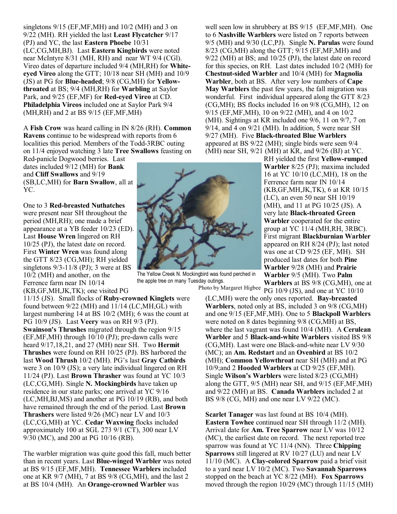singletons 9/15 (EF,MF,MH) and 10/2 (MH) and 3 on 9/22 (MH). RH yielded the last **Least Flycatcher** 9/17 (PJ) and YC, the last **Eastern Phoebe** 10/31 (LC,CG,MH,BJ). Last **Eastern Kingbirds** were noted near McIntyre 8/31 (MH, RH) and near WT 9/4 (CGl). Vireo dates of departure included 9/4 (MH,RH) for **Whiteeyed Vireo** along the GTT; 10/18 near SH (MH) and 10/9 (JS) at PG for **Blue-headed**; 9/8 (CG,MH) for **Yellowthroated** at BS; 9/4 (MH,RH) for **Warbling** at Saylor Park, and 9/25 (EF,MF) for **Red-eyed Vireo** at CD. **Philadelphia Vireos** included one at Saylor Park 9/4  $(MH, RH)$  and 2 at BS  $9/15$  (EF, MF, MH)

A **Fish Crow** was heard calling in IN 8/26 (RH). **Common Ravens** continue to be widespread with reports from 6 localities this period. Members of the Todd-3RBC outing on 11/4 enjoyed watching 3 late **Tree Swallows** feasting on

Red-panicle Dogwood berries. Last dates included 9/12 (MH) for **Bank** and **Cliff Swallows** and 9/19 (SB,LC,MH) for **Barn Swallow**, all at YC.

One to 3 **Red-breasted Nuthatches** were present near SH throughout the period (MH,RH); one made a brief appearance at a YB feeder 10/23 (ED). Last **House Wren** lingered on RH 10/25 (PJ), the latest date on record. First **Winter Wren** was found along the GTT 8/23 (CG,MH); RH yielded singletons 9/3-11/8 (PJ); 3 were at BS 10/2 (MH) and another, on the Ferrence farm near IN 10/14 (KB,GF,MH,JK,TK); one visited PG

11/15 (JS). Small flocks of **Ruby-crowned Kinglets** were found between 9/22 (MH) and 11/14 (LC,MH,GL) with largest numbering 14 at BS 10/2 (MH); 6 was the count at PG 10/9 (JS). Last **Veery** was on RH 9/3 (PJ). **Swainson's Thrushes** migrated through the region 9/15 (EF,MF,MH) through 10/10 (PJ); pre-dawn calls were heard 9/17,18,21, and 27 (MH) near SH. Two **Hermit Thrushes** were found on RH 10/25 (PJ). BS harbored the last **Wood Thrush** 10/2 (MH). PG's last **Gray Catbirds** were 3 on 10/9 (JS); a very late individual lingered on RH 11/24 (PJ). Last **Brown Thrasher** was found at YC 10/3 (LC,CG,MH). Single **N. Mockingbirds** have taken up residence in our state parks; one arrived at YC 9/16 (LC,MH,BJ,MS) and another at PG 10/19 (RB), and both have remained through the end of the period. Last **Brown Thrashers** were listed 9/26 (MC) near LV and 10/3 (LC,CG,MH) at YC. **Cedar Waxwing** flocks included approximately 100 at SGL 273 9/1 (CT), 300 near LV 9/30 (MC), and 200 at PG 10/16 (RB).

The warbler migration was quite good this fall, much better than in recent years. Last **Blue-winged Warbler** was noted at BS 9/15 (EF,MF,MH). **Tennessee Warblers** included one at KR 9/7 (MH), 7 at BS 9/8 (CG,MH), and the last 2 at BS 10/4 (MH). An **Orange-crowned Warbler** was



well seen low in shrubbery at BS 9/15 (EF,MF,MH). One to 6 **Nashville Warblers** were listed on 7 reports between 9/5 (MH) and 9/30 (LC,PJ). Single **N. Parulas** were found

> **Warbler** 8/25 (PJ); maxima included 16 at YC 10/10 (LC,MH), 18 on the Ferrence farm near IN 10/14 (KB,GF,MH,JK,TK), 6 at KR 10/15 (LC), an even 50 near SH 10/19 (MH), and 11 at PG 10/25 (JS). A very late **Black-throated Green Warbler** cooperated for the entire group at YC 11/4 (MH,RH, 3RBC). First migrant **Blackburnian Warbler** appeared on RH 8/24 (PJ); last noted was one at CD 9/25 (EF, MH). SH produced last dates for both **Pine Warbler** 9/28 (MH) and **Prairie Warbler** 9/5 (MH). Two **Palm Warblers** at BS 9/8 (CG,MH), one at



The Yellow Creek N. Mockingbird was found perched in the apple tree on many Tuesday outings.

PG 10/9 (JS), and one at YC 10/10 Photo by Margaret Higbee

(LC,MH) were the only ones reported. **Bay-breasted Warblers**, noted only at BS, included 3 on 9/8 (CG,MH) and one 9/15 (EF,MF,MH). One to 5 **Blackpoll Warblers** were noted on 8 dates beginning 9/8 (CG,MH) at BS, where the last vagrant was found 10/4 (MH). A **Cerulean Warbler** and 5 **Black-and-white Warblers** visited BS 9/8 (CG,MH). Last were one Black-and-white near LV 9/30 (MC); an **Am. Redstart** and an **Ovenbird** at BS 10/2 (MH); **Common Yellowthroat** near SH (MH) and at PG 10/9;and 2 **Hooded Warblers** at CD 9/25 (EF,MH). Single **Wilson's Warblers** were listed 8/23 (CG,MH) along the GTT,  $9/5$  (MH) near SH, and  $9/15$  (EF, MF, MH) and 9/22 (MH) at BS. **Canada Warblers** included 2 at BS 9/8 (CG, MH) and one near LV 9/22 (MC).

**Scarlet Tanager** was last found at BS 10/4 (MH). **Eastern Towhee** continued near SH through 11/2 (MH). Arrival date for **Am. Tree Sparrow** near LV was 10/12 (MC), the earliest date on record. The next reported tree sparrow was found at YC 11/4 (NN). Three **Chipping Sparrows** still lingered at RV 10/27 (LU) and near LV 11/10 (MC). A **Clay-colored Sparrow** paid a brief visit to a yard near LV 10/2 (MC). Two **Savannah Sparrows** stopped on the beach at YC 8/22 (MH). **Fox Sparrows** moved through the region 10/29 (MC) through 11/15 (MH)